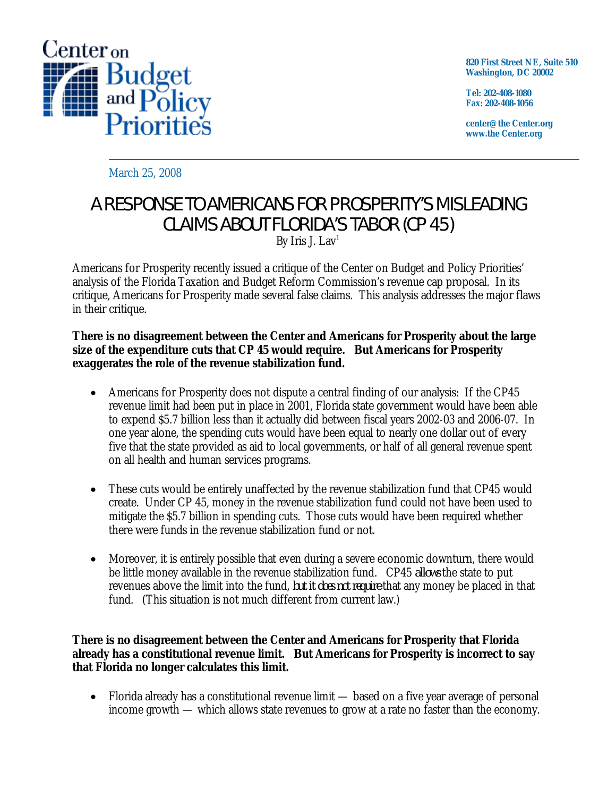

**820 First Street NE, Suite 510 Washington, DC 20002** 

**Tel: 202-408-1080 Fax: 202-408-1056** 

**center@the Center.org www.the Center.org** 

March 25, 2008

# A RESPONSE TO AMERICANS FOR PROSPERITY'S MISLEADING CLAIMS ABOUT FLORIDA'S TABOR (CP 45)

By Iris J. Lav<sup>1</sup>

Americans for Prosperity recently issued a critique of the Center on Budget and Policy Priorities' analysis of the Florida Taxation and Budget Reform Commission's revenue cap proposal. In its critique, Americans for Prosperity made several false claims. This analysis addresses the major flaws in their critique.

### **There is no disagreement between the Center and Americans for Prosperity about the large size of the expenditure cuts that CP 45 would require. But Americans for Prosperity exaggerates the role of the revenue stabilization fund.**

- Americans for Prosperity does not dispute a central finding of our analysis: If the CP45 revenue limit had been put in place in 2001, Florida state government would have been able to expend \$5.7 billion less than it actually did between fiscal years 2002-03 and 2006-07. In one year alone, the spending cuts would have been equal to nearly one dollar out of every five that the state provided as aid to local governments, or half of all general revenue spent on all health and human services programs.
- These cuts would be entirely unaffected by the revenue stabilization fund that CP45 would create. Under CP 45, money in the revenue stabilization fund could not have been used to mitigate the \$5.7 billion in spending cuts. Those cuts would have been required whether there were funds in the revenue stabilization fund or not.
- Moreover, it is entirely possible that even during a severe economic downturn, there would be little money available in the revenue stabilization fund. CP45 *allows* the state to put revenues above the limit into the fund, *but it does not require* that any money be placed in that fund. (This situation is not much different from current law.)

### **There is no disagreement between the Center and Americans for Prosperity that Florida already has a constitutional revenue limit. But Americans for Prosperity is incorrect to say that Florida no longer calculates this limit.**

• Florida already has a constitutional revenue limit — based on a five year average of personal income growth — which allows state revenues to grow at a rate no faster than the economy.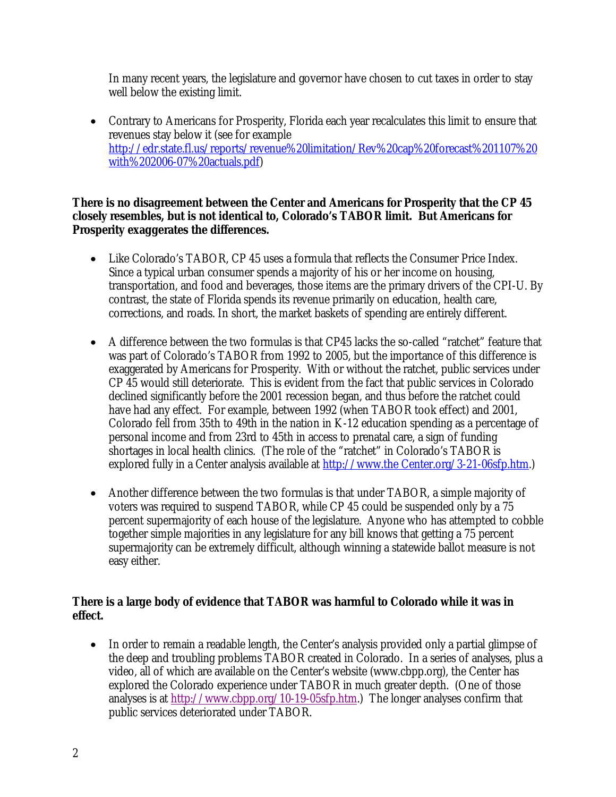In many recent years, the legislature and governor have chosen to cut taxes in order to stay well below the existing limit.

• Contrary to Americans for Prosperity, Florida each year recalculates this limit to ensure that revenues stay below it (see for example http://edr.state.fl.us/reports/revenue%20limitation/Rev%20cap%20forecast%201107%20 with%202006-07%20actuals.pdf)

## **There is no disagreement between the Center and Americans for Prosperity that the CP 45 closely resembles, but is not identical to, Colorado's TABOR limit. But Americans for Prosperity exaggerates the differences.**

- Like Colorado's TABOR, CP 45 uses a formula that reflects the Consumer Price Index. Since a typical urban consumer spends a majority of his or her income on housing, transportation, and food and beverages, those items are the primary drivers of the CPI-U. By contrast, the state of Florida spends its revenue primarily on education, health care, corrections, and roads. In short, the market baskets of spending are entirely different.
- A difference between the two formulas is that CP45 lacks the so-called "ratchet" feature that was part of Colorado's TABOR from 1992 to 2005, but the importance of this difference is exaggerated by Americans for Prosperity. With or without the ratchet, public services under CP 45 would still deteriorate. This is evident from the fact that public services in Colorado declined significantly before the 2001 recession began, and thus before the ratchet could have had any effect. For example, between 1992 (when TABOR took effect) and 2001, Colorado fell from 35th to 49th in the nation in K-12 education spending as a percentage of personal income and from 23rd to 45th in access to prenatal care, a sign of funding shortages in local health clinics. (The role of the "ratchet" in Colorado's TABOR is explored fully in a Center analysis available at http://www.the Center.org/3-21-06sfp.htm.)
- Another difference between the two formulas is that under TABOR, a simple majority of voters was required to suspend TABOR, while CP 45 could be suspended only by a 75 percent supermajority of each house of the legislature. Anyone who has attempted to cobble together simple majorities in any legislature for any bill knows that getting a 75 percent supermajority can be extremely difficult, although winning a statewide ballot measure is not easy either.

## **There is a large body of evidence that TABOR was harmful to Colorado while it was in effect.**

• In order to remain a readable length, the Center's analysis provided only a partial glimpse of the deep and troubling problems TABOR created in Colorado. In a series of analyses, plus a video, all of which are available on the Center's website (www.cbpp.org), the Center has explored the Colorado experience under TABOR in much greater depth. (One of those analyses is at http://www.cbpp.org/10-19-05sfp.htm.) The longer analyses confirm that public services deteriorated under TABOR.